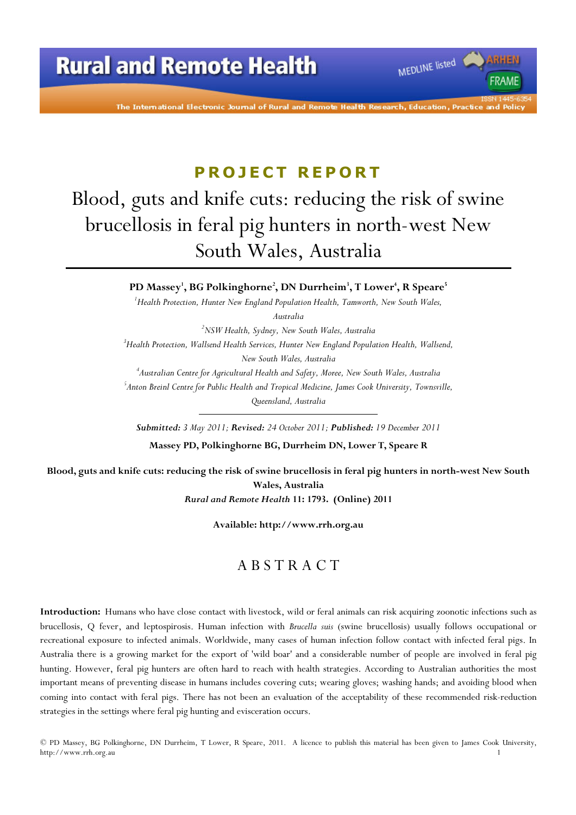The International Electronic Journal of Rural and Remote Health Research, Education, Practi

MEDLINE listed

FRAME

### **P R O J E C T R E P O R T**

# Blood, guts and knife cuts: reducing the risk of swine brucellosis in feral pig hunters in north-west New South Wales, Australia

**PD Massey<sup>1</sup> , BG Polkinghorne<sup>2</sup> , DN Durrheim<sup>3</sup> , T Lower<sup>4</sup> , R Speare<sup>5</sup>**

*Health Protection, Hunter New England Population Health, Tamworth, New South Wales, Australia NSW Health, Sydney, New South Wales, Australia Health Protection, Wallsend Health Services, Hunter New England Population Health, Wallsend, New South Wales, Australia Australian Centre for Agricultural Health and Safety, Moree, New South Wales, Australia Anton Breinl Centre for Public Health and Tropical Medicine, James Cook University, Townsville, Queensland, Australia* 

*Submitted: 3 May 2011; Revised: 24 October 2011; Published: 19 December 2011* 

**Massey PD, Polkinghorne BG, Durrheim DN, Lower T, Speare R** 

**Blood, guts and knife cuts: reducing the risk of swine brucellosis in feral pig hunters in north-west New South Wales, Australia** 

*Rural and Remote Health* **11: 1793. (Online) 2011** 

**Available: http://www.rrh.org.au** 

### A B S T R A C T

**Introduction:** Humans who have close contact with livestock, wild or feral animals can risk acquiring zoonotic infections such as brucellosis, Q fever, and leptospirosis. Human infection with *Brucella suis* (swine brucellosis) usually follows occupational or recreational exposure to infected animals. Worldwide, many cases of human infection follow contact with infected feral pigs. In Australia there is a growing market for the export of 'wild boar' and a considerable number of people are involved in feral pig hunting. However, feral pig hunters are often hard to reach with health strategies. According to Australian authorities the most important means of preventing disease in humans includes covering cuts; wearing gloves; washing hands; and avoiding blood when coming into contact with feral pigs. There has not been an evaluation of the acceptability of these recommended risk-reduction strategies in the settings where feral pig hunting and evisceration occurs.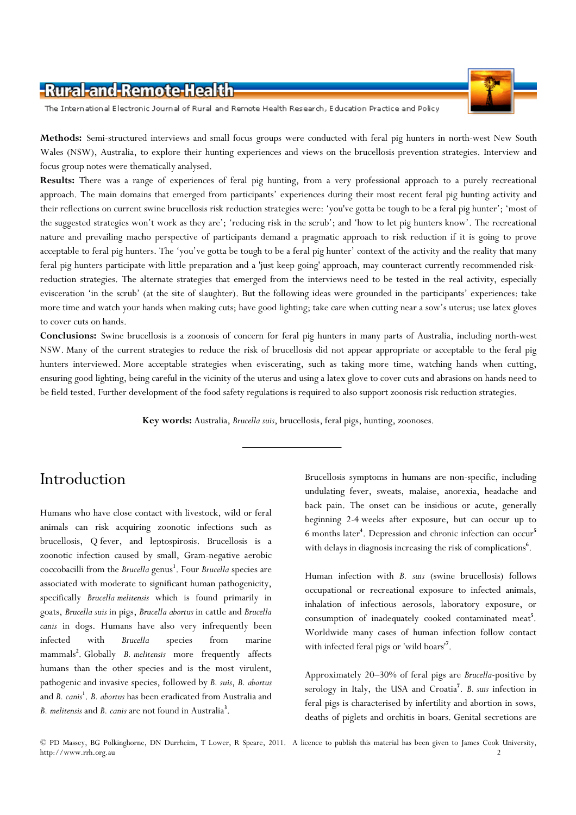

The International Electronic Journal of Rural and Remote Health Research, Education Practice and Policy

**Methods:** Semi-structured interviews and small focus groups were conducted with feral pig hunters in north-west New South Wales (NSW), Australia, to explore their hunting experiences and views on the brucellosis prevention strategies. Interview and focus group notes were thematically analysed.

**Results:** There was a range of experiences of feral pig hunting, from a very professional approach to a purely recreational approach. The main domains that emerged from participants' experiences during their most recent feral pig hunting activity and their reflections on current swine brucellosis risk reduction strategies were: 'you've gotta be tough to be a feral pig hunter'; 'most of the suggested strategies won't work as they are'; 'reducing risk in the scrub'; and 'how to let pig hunters know'. The recreational nature and prevailing macho perspective of participants demand a pragmatic approach to risk reduction if it is going to prove acceptable to feral pig hunters. The 'you've gotta be tough to be a feral pig hunter' context of the activity and the reality that many feral pig hunters participate with little preparation and a 'just keep going' approach, may counteract currently recommended riskreduction strategies. The alternate strategies that emerged from the interviews need to be tested in the real activity, especially evisceration 'in the scrub' (at the site of slaughter). But the following ideas were grounded in the participants' experiences: take more time and watch your hands when making cuts; have good lighting; take care when cutting near a sow's uterus; use latex gloves to cover cuts on hands.

**Conclusions:** Swine brucellosis is a zoonosis of concern for feral pig hunters in many parts of Australia, including north-west NSW. Many of the current strategies to reduce the risk of brucellosis did not appear appropriate or acceptable to the feral pig hunters interviewed. More acceptable strategies when eviscerating, such as taking more time, watching hands when cutting, ensuring good lighting, being careful in the vicinity of the uterus and using a latex glove to cover cuts and abrasions on hands need to be field tested. Further development of the food safety regulations is required to also support zoonosis risk reduction strategies.

**Key words:** Australia, *Brucella suis*, brucellosis, feral pigs, hunting, zoonoses.

# Introduction

Humans who have close contact with livestock, wild or feral animals can risk acquiring zoonotic infections such as brucellosis, Q fever, and leptospirosis. Brucellosis is a zoonotic infection caused by small, Gram-negative aerobic coccobacilli from the *Brucella* genus **1** . Four *Brucella* species are associated with moderate to significant human pathogenicity, specifically *Brucella melitensis* which is found primarily in goats, *Brucella suis* in pigs, *Brucella abortus* in cattle and *Brucella canis* in dogs. Humans have also very infrequently been infected with *Brucella* species from marine mammals**<sup>2</sup>** . Globally *B. melitensis* more frequently affects humans than the other species and is the most virulent, pathogenic and invasive species, followed by *B. suis*, *B. abortus*  and *B. canis***<sup>1</sup>** . *B. abortus* has been eradicated from Australia and *B. melitensis* and *B. canis* are not found in Australia**<sup>3</sup>** .

Brucellosis symptoms in humans are non-specific, including undulating fever, sweats, malaise, anorexia, headache and back pain. The onset can be insidious or acute, generally beginning 2-4 weeks after exposure, but can occur up to 6 months later**<sup>4</sup>** . Depression and chronic infection can occur**<sup>5</sup>** with delays in diagnosis increasing the risk of complications**<sup>6</sup>** .

Human infection with *B. suis* (swine brucellosis) follows occupational or recreational exposure to infected animals, inhalation of infectious aerosols, laboratory exposure, or consumption of inadequately cooked contaminated meat **5** . Worldwide many cases of human infection follow contact with infected feral pigs or 'wild boars'**<sup>7</sup>** .

Approximately 20–30% of feral pigs are *Brucella*-positive by serology in Italy, the USA and Croatia**<sup>7</sup>** . *B. suis* infection in feral pigs is characterised by infertility and abortion in sows, deaths of piglets and orchitis in boars. Genital secretions are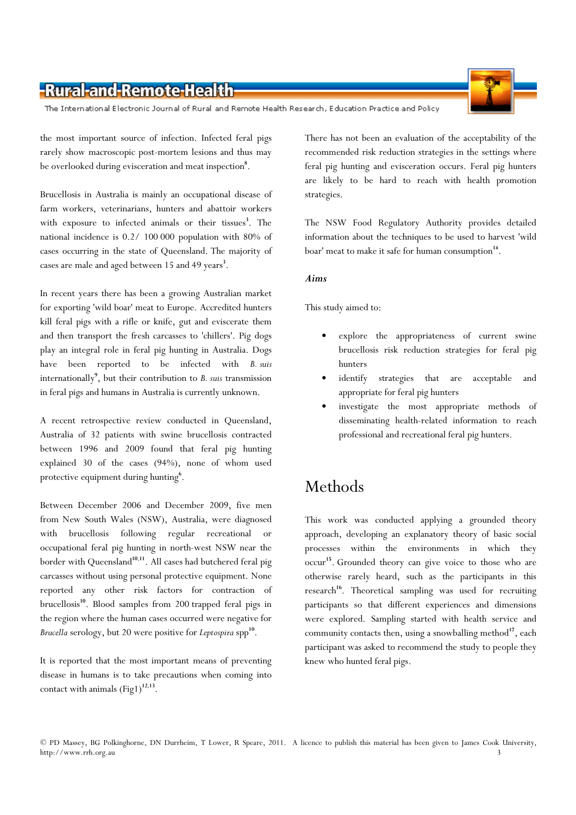The International Electronic Journal of Rural and Remote Health Research, Education Practice and Policy

the most important source of infection. Infected feral pigs rarely show macroscopic post-mortem lesions and thus may be overlooked during evisceration and meat inspection **8** .

Brucellosis in Australia is mainly an occupational disease of farm workers, veterinarians, hunters and abattoir workers with exposure to infected animals or their tissues**<sup>3</sup>** . The national incidence is 0.2/ 100 000 population with 80% of cases occurring in the state of Queensland. The majority of cases are male and aged between 15 and 49 years**<sup>3</sup>** .

In recent years there has been a growing Australian market for exporting 'wild boar' meat to Europe. Accredited hunters kill feral pigs with a rifle or knife, gut and eviscerate them and then transport the fresh carcasses to 'chillers'. Pig dogs play an integral role in feral pig hunting in Australia. Dogs have been reported to be infected with *B. suis* internationally**<sup>9</sup>** , but their contribution to *B. suis* transmission in feral pigs and humans in Australia is currently unknown.

A recent retrospective review conducted in Queensland, Australia of 32 patients with swine brucellosis contracted between 1996 and 2009 found that feral pig hunting explained 30 of the cases (94%), none of whom used protective equipment during hunting**<sup>6</sup>** .

Between December 2006 and December 2009, five men from New South Wales (NSW), Australia, were diagnosed with brucellosis following regular recreational or occupational feral pig hunting in north-west NSW near the border with Queensland<sup>10,11</sup>. All cases had butchered feral pig carcasses without using personal protective equipment. None reported any other risk factors for contraction of brucellosis**<sup>10</sup>**. Blood samples from 200 trapped feral pigs in the region where the human cases occurred were negative for *Brucella* serology, but 20 were positive for *Leptospira* spp **10** .

It is reported that the most important means of preventing disease in humans is to take precautions when coming into contact with animals  $(Fig1)^{12,13}$ .

There has not been an evaluation of the acceptability of the recommended risk reduction strategies in the settings where feral pig hunting and evisceration occurs. Feral pig hunters are likely to be hard to reach with health promotion strategies.

The NSW Food Regulatory Authority provides detailed information about the techniques to be used to harvest 'wild boar' meat to make it safe for human consumption**<sup>14</sup>** .

#### *Aims*

This study aimed to:

- explore the appropriateness of current swine brucellosis risk reduction strategies for feral pig hunters
- identify strategies that are acceptable and appropriate for feral pig hunters
- investigate the most appropriate methods of disseminating health-related information to reach professional and recreational feral pig hunters.

# Methods

This work was conducted applying a grounded theory approach, developing an explanatory theory of basic social processes within the environments in which they occur **<sup>15</sup>**. Grounded theory can give voice to those who are otherwise rarely heard, such as the participants in this research<sup>16</sup>. Theoretical sampling was used for recruiting participants so that different experiences and dimensions were explored. Sampling started with health service and community contacts then, using a snowballing method**<sup>17</sup>**, each participant was asked to recommend the study to people they knew who hunted feral pigs.



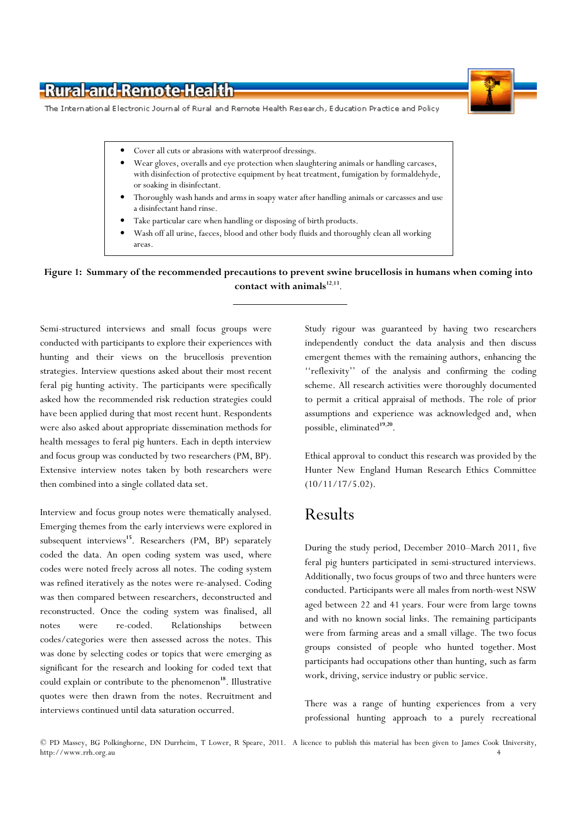

The International Electronic Journal of Rural and Remote Health Research, Education Practice and Policy

- 
- Cover all cuts or abrasions with waterproof dressings.
- Wear gloves, overalls and eye protection when slaughtering animals or handling carcases, with disinfection of protective equipment by heat treatment, fumigation by formaldehyde, or soaking in disinfectant.
- Thoroughly wash hands and arms in soapy water after handling animals or carcasses and use a disinfectant hand rinse.
- Take particular care when handling or disposing of birth products.
- Wash off all urine, faeces, blood and other body fluids and thoroughly clean all working areas.

**Figure 1: Summary of the recommended precautions to prevent swine brucellosis in humans when coming into contact with animals<sup>12</sup>**,**<sup>13</sup>** .

Semi-structured interviews and small focus groups were conducted with participants to explore their experiences with hunting and their views on the brucellosis prevention strategies. Interview questions asked about their most recent feral pig hunting activity. The participants were specifically asked how the recommended risk reduction strategies could have been applied during that most recent hunt. Respondents were also asked about appropriate dissemination methods for health messages to feral pig hunters. Each in depth interview and focus group was conducted by two researchers (PM, BP). Extensive interview notes taken by both researchers were then combined into a single collated data set.

Interview and focus group notes were thematically analysed. Emerging themes from the early interviews were explored in subsequent interviews<sup>15</sup>. Researchers (PM, BP) separately coded the data. An open coding system was used, where codes were noted freely across all notes. The coding system was refined iteratively as the notes were re-analysed. Coding was then compared between researchers, deconstructed and reconstructed. Once the coding system was finalised, all notes were re-coded. Relationships between codes/categories were then assessed across the notes. This was done by selecting codes or topics that were emerging as significant for the research and looking for coded text that could explain or contribute to the phenomenon**<sup>18</sup>**. Illustrative quotes were then drawn from the notes. Recruitment and interviews continued until data saturation occurred.

Study rigour was guaranteed by having two researchers independently conduct the data analysis and then discuss emergent themes with the remaining authors, enhancing the ''reflexivity'' of the analysis and confirming the coding scheme. All research activities were thoroughly documented to permit a critical appraisal of methods. The role of prior assumptions and experience was acknowledged and, when possible, eliminated**<sup>19</sup>**,**<sup>20</sup>** .

Ethical approval to conduct this research was provided by the Hunter New England Human Research Ethics Committee  $(10/11/17/5.02)$ .

### Results

During the study period, December 2010–March 2011, five feral pig hunters participated in semi-structured interviews. Additionally, two focus groups of two and three hunters were conducted. Participants were all males from north-west NSW aged between 22 and 41 years. Four were from large towns and with no known social links. The remaining participants were from farming areas and a small village. The two focus groups consisted of people who hunted together. Most participants had occupations other than hunting, such as farm work, driving, service industry or public service.

There was a range of hunting experiences from a very professional hunting approach to a purely recreational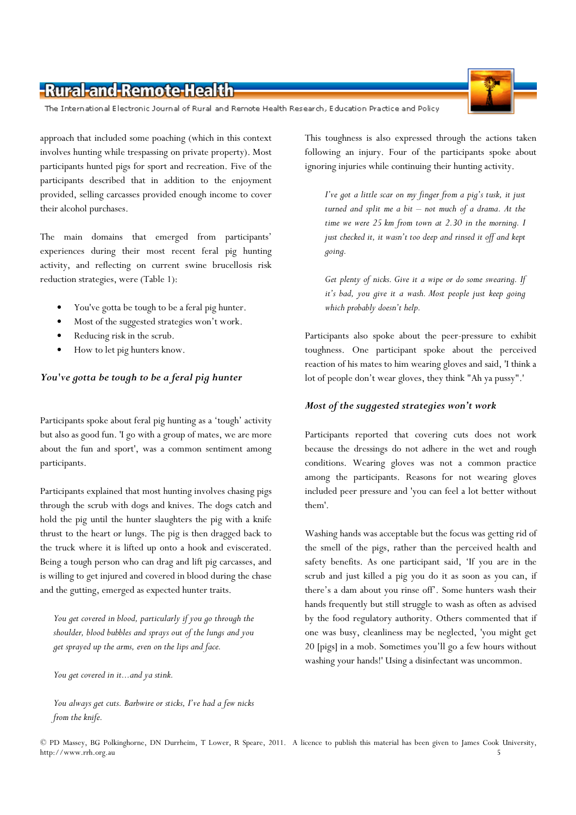The International Electronic Journal of Rural and Remote Health Research, Education Practice and Policy

approach that included some poaching (which in this context involves hunting while trespassing on private property). Most participants hunted pigs for sport and recreation. Five of the participants described that in addition to the enjoyment provided, selling carcasses provided enough income to cover their alcohol purchases.

The main domains that emerged from participants' experiences during their most recent feral pig hunting activity, and reflecting on current swine brucellosis risk reduction strategies, were (Table 1):

- You've gotta be tough to be a feral pig hunter.
- Most of the suggested strategies won't work.
- Reducing risk in the scrub.
- How to let pig hunters know.

#### *You've gotta be tough to be a feral pig hunter*

Participants spoke about feral pig hunting as a 'tough' activity but also as good fun. 'I go with a group of mates, we are more about the fun and sport', was a common sentiment among participants.

Participants explained that most hunting involves chasing pigs through the scrub with dogs and knives. The dogs catch and hold the pig until the hunter slaughters the pig with a knife thrust to the heart or lungs. The pig is then dragged back to the truck where it is lifted up onto a hook and eviscerated. Being a tough person who can drag and lift pig carcasses, and is willing to get injured and covered in blood during the chase and the gutting, emerged as expected hunter traits.

*You get covered in blood, particularly if you go through the shoulder, blood bubbles and sprays out of the lungs and you get sprayed up the arms, even on the lips and face.*

*You get covered in it...and ya stink.* 

This toughness is also expressed through the actions taken following an injury. Four of the participants spoke about ignoring injuries while continuing their hunting activity.

*I've got a little scar on my finger from a pig's tusk, it just turned and split me a bit – not much of a drama. At the time we were 25 km from town at 2.30 in the morning. I just checked it, it wasn't too deep and rinsed it off and kept going.* 

*Get plenty of nicks. Give it a wipe or do some swearing. If it's bad, you give it a wash. Most people just keep going which probably doesn't help.* 

Participants also spoke about the peer-pressure to exhibit toughness. One participant spoke about the perceived reaction of his mates to him wearing gloves and said, 'I think a lot of people don't wear gloves, they think "Ah ya pussy".'

#### *Most of the suggested strategies won't work*

Participants reported that covering cuts does not work because the dressings do not adhere in the wet and rough conditions. Wearing gloves was not a common practice among the participants. Reasons for not wearing gloves included peer pressure and 'you can feel a lot better without them'.

Washing hands was acceptable but the focus was getting rid of the smell of the pigs, rather than the perceived health and safety benefits. As one participant said, 'If you are in the scrub and just killed a pig you do it as soon as you can, if there's a dam about you rinse off'. Some hunters wash their hands frequently but still struggle to wash as often as advised by the food regulatory authority. Others commented that if one was busy, cleanliness may be neglected, 'you might get 20 [pigs] in a mob. Sometimes you'll go a few hours without washing your hands!' Using a disinfectant was uncommon.

*You always get cuts. Barbwire or sticks, I've had a few nicks from the knife.*

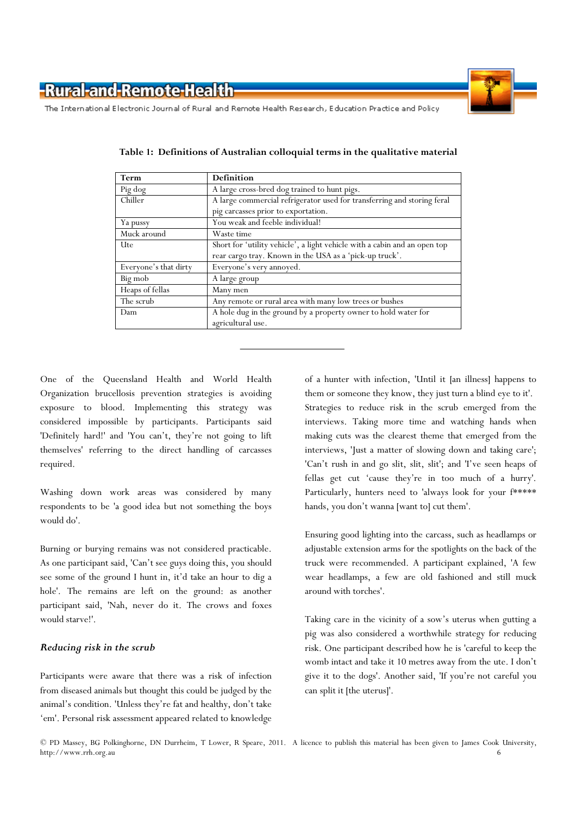

| Term                  | <b>Definition</b>                                                         |
|-----------------------|---------------------------------------------------------------------------|
| Pig dog               | A large cross-bred dog trained to hunt pigs.                              |
| Chiller               | A large commercial refrigerator used for transferring and storing feral   |
|                       | pig carcasses prior to exportation.                                       |
| Ya pussy              | You weak and feeble individual!                                           |
| Muck around           | Waste time                                                                |
| <b>Ute</b>            | Short for 'utility vehicle', a light vehicle with a cabin and an open top |
|                       | rear cargo tray. Known in the USA as a 'pick-up truck'.                   |
| Everyone's that dirty | Everyone's very annoyed.                                                  |
| Big mob               | A large group                                                             |
| Heaps of fellas       | Many men                                                                  |
| The scrub             | Any remote or rural area with many low trees or bushes                    |
| Dam                   | A hole dug in the ground by a property owner to hold water for            |
|                       | agricultural use.                                                         |
|                       |                                                                           |

**Table 1: Definitions of Australian colloquial terms in the qualitative material** 

One of the Queensland Health and World Health Organization brucellosis prevention strategies is avoiding exposure to blood. Implementing this strategy was considered impossible by participants. Participants said 'Definitely hard!' and 'You can't, they're not going to lift themselves' referring to the direct handling of carcasses required.

Washing down work areas was considered by many respondents to be 'a good idea but not something the boys would do'.

Burning or burying remains was not considered practicable. As one participant said, 'Can't see guys doing this, you should see some of the ground I hunt in, it'd take an hour to dig a hole'. The remains are left on the ground: as another participant said, 'Nah, never do it. The crows and foxes would starve!'.

#### *Reducing risk in the scrub*

Participants were aware that there was a risk of infection from diseased animals but thought this could be judged by the animal's condition. 'Unless they're fat and healthy, don't take 'em'. Personal risk assessment appeared related to knowledge

of a hunter with infection, 'Until it [an illness] happens to them or someone they know, they just turn a blind eye to it'. Strategies to reduce risk in the scrub emerged from the interviews. Taking more time and watching hands when making cuts was the clearest theme that emerged from the interviews, 'Just a matter of slowing down and taking care'; 'Can't rush in and go slit, slit, slit'; and 'I've seen heaps of fellas get cut 'cause they're in too much of a hurry'. Particularly, hunters need to 'always look for your f\*\*\*\*\* hands, you don't wanna [want to] cut them'.

Ensuring good lighting into the carcass, such as headlamps or adjustable extension arms for the spotlights on the back of the truck were recommended. A participant explained, 'A few wear headlamps, a few are old fashioned and still muck around with torches'.

Taking care in the vicinity of a sow's uterus when gutting a pig was also considered a worthwhile strategy for reducing risk. One participant described how he is 'careful to keep the womb intact and take it 10 metres away from the ute. I don't give it to the dogs'. Another said, 'If you're not careful you can split it [the uterus]'.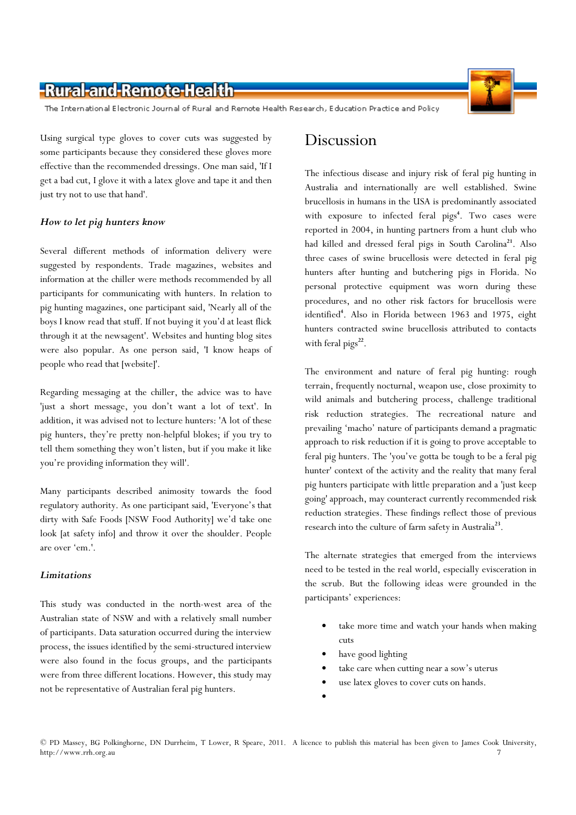The International Electronic Journal of Rural and Remote Health Research, Education Practice and Policy

Using surgical type gloves to cover cuts was suggested by some participants because they considered these gloves more effective than the recommended dressings. One man said, 'If I get a bad cut, I glove it with a latex glove and tape it and then just try not to use that hand'.

#### *How to let pig hunters know*

Several different methods of information delivery were suggested by respondents. Trade magazines, websites and information at the chiller were methods recommended by all participants for communicating with hunters. In relation to pig hunting magazines, one participant said, 'Nearly all of the boys I know read that stuff. If not buying it you'd at least flick through it at the newsagent'. Websites and hunting blog sites were also popular. As one person said, 'I know heaps of people who read that [website]'.

Regarding messaging at the chiller, the advice was to have 'just a short message, you don't want a lot of text'. In addition, it was advised not to lecture hunters: 'A lot of these pig hunters, they're pretty non-helpful blokes; if you try to tell them something they won't listen, but if you make it like you're providing information they will'.

Many participants described animosity towards the food regulatory authority. As one participant said, 'Everyone's that dirty with Safe Foods [NSW Food Authority] we'd take one look [at safety info] and throw it over the shoulder. People are over 'em.'.

#### *Limitations*

This study was conducted in the north-west area of the Australian state of NSW and with a relatively small number of participants. Data saturation occurred during the interview process, the issues identified by the semi-structured interview were also found in the focus groups, and the participants were from three different locations. However, this study may not be representative of Australian feral pig hunters.



### Discussion

The infectious disease and injury risk of feral pig hunting in Australia and internationally are well established. Swine brucellosis in humans in the USA is predominantly associated with exposure to infected feral pigs**<sup>4</sup>** . Two cases were reported in 2004, in hunting partners from a hunt club who had killed and dressed feral pigs in South Carolina**<sup>21</sup>**. Also three cases of swine brucellosis were detected in feral pig hunters after hunting and butchering pigs in Florida. No personal protective equipment was worn during these procedures, and no other risk factors for brucellosis were identified**<sup>4</sup>** . Also in Florida between 1963 and 1975, eight hunters contracted swine brucellosis attributed to contacts with feral pigs<sup>22</sup>.

The environment and nature of feral pig hunting: rough terrain, frequently nocturnal, weapon use, close proximity to wild animals and butchering process, challenge traditional risk reduction strategies. The recreational nature and prevailing 'macho' nature of participants demand a pragmatic approach to risk reduction if it is going to prove acceptable to feral pig hunters. The 'you've gotta be tough to be a feral pig hunter' context of the activity and the reality that many feral pig hunters participate with little preparation and a 'just keep going' approach, may counteract currently recommended risk reduction strategies. These findings reflect those of previous research into the culture of farm safety in Australia**<sup>23</sup>** .

The alternate strategies that emerged from the interviews need to be tested in the real world, especially evisceration in the scrub. But the following ideas were grounded in the participants' experiences:

- take more time and watch your hands when making cuts
- have good lighting
- take care when cutting near a sow's uterus
- use latex gloves to cover cuts on hands.
- •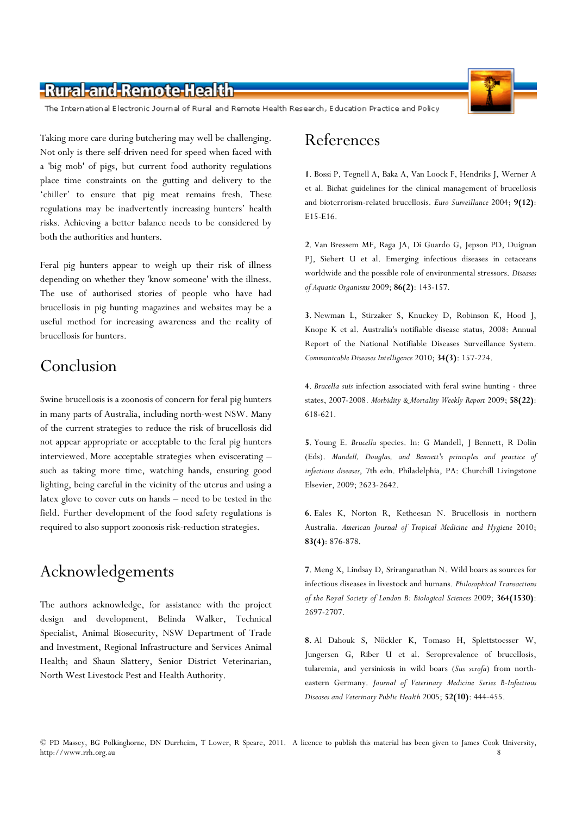The International Electronic Journal of Rural and Remote Health Research, Education Practice and Policy

Taking more care during butchering may well be challenging. Not only is there self-driven need for speed when faced with a 'big mob' of pigs, but current food authority regulations place time constraints on the gutting and delivery to the 'chiller' to ensure that pig meat remains fresh. These regulations may be inadvertently increasing hunters' health risks. Achieving a better balance needs to be considered by both the authorities and hunters.

Feral pig hunters appear to weigh up their risk of illness depending on whether they 'know someone' with the illness. The use of authorised stories of people who have had brucellosis in pig hunting magazines and websites may be a useful method for increasing awareness and the reality of brucellosis for hunters.

### Conclusion

Swine brucellosis is a zoonosis of concern for feral pig hunters in many parts of Australia, including north-west NSW. Many of the current strategies to reduce the risk of brucellosis did not appear appropriate or acceptable to the feral pig hunters interviewed. More acceptable strategies when eviscerating – such as taking more time, watching hands, ensuring good lighting, being careful in the vicinity of the uterus and using a latex glove to cover cuts on hands – need to be tested in the field. Further development of the food safety regulations is required to also support zoonosis risk-reduction strategies.

# Acknowledgements

The authors acknowledge, for assistance with the project design and development, Belinda Walker, Technical Specialist, Animal Biosecurity, NSW Department of Trade and Investment, Regional Infrastructure and Services Animal Health; and Shaun Slattery, Senior District Veterinarian, North West Livestock Pest and Health Authority.

### References

**1**. Bossi P, Tegnell A, Baka A, Van Loock F, Hendriks J, Werner A et al. Bichat guidelines for the clinical management of brucellosis and bioterrorism-related brucellosis. *Euro Surveillance* 2004; **9(12)**: E15-E16.

**2**. Van Bressem MF, Raga JA, Di Guardo G, Jepson PD, Duignan PJ, Siebert U et al. Emerging infectious diseases in cetaceans worldwide and the possible role of environmental stressors. *Diseases of Aquatic Organisms* 2009; **86(2)**: 143-157.

**3**. Newman L, Stirzaker S, Knuckey D, Robinson K, Hood J, Knope K et al. Australia's notifiable disease status, 2008: Annual Report of the National Notifiable Diseases Surveillance System. *Communicable Diseases Intelligence* 2010; **34(3)**: 157-224.

**4**. *Brucella suis* infection associated with feral swine hunting - three states, 2007-2008. *Morbidity & Mortality Weekly Report* 2009; **58(22)**: 618-621.

**5**. Young E. *Brucella* species. In: G Mandell, J Bennett, R Dolin (Eds). *Mandell, Douglas, and Bennett's principles and practice of infectious diseases*, 7th edn. Philadelphia, PA: Churchill Livingstone Elsevier, 2009; 2623-2642.

**6**. Eales K, Norton R, Ketheesan N. Brucellosis in northern Australia. *American Journal of Tropical Medicine and Hygiene* 2010; **83(4)**: 876-878.

**7**. Meng X, Lindsay D, Sriranganathan N. Wild boars as sources for infectious diseases in livestock and humans. *Philosophical Transactions of the Royal Society of London B: Biological Sciences* 2009; **364(1530)**: 2697-2707.

**8**. Al Dahouk S, Nöckler K, Tomaso H, Splettstoesser W, Jungersen G, Riber U et al. Seroprevalence of brucellosis, tularemia, and yersiniosis in wild boars (*Sus scrofa*) from northeastern Germany. *Journal of Veterinary Medicine Series B-Infectious Diseases and Veterinary Public Health* 2005; **52(10)**: 444-455.